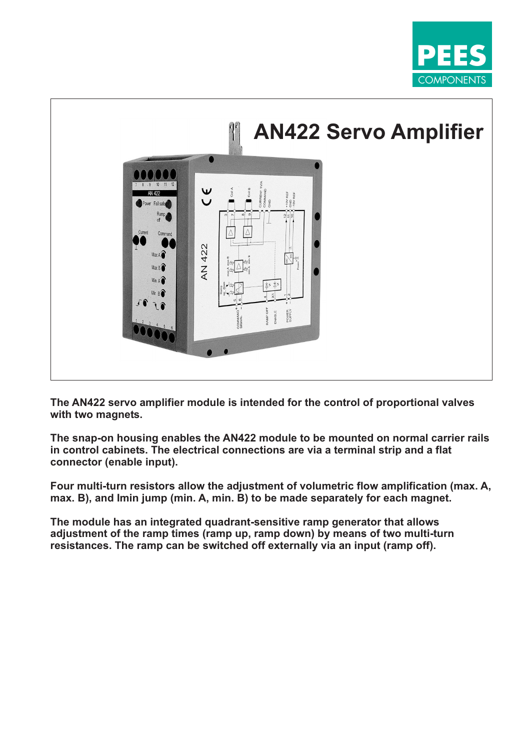



**The AN422 servo amplifier module is intended for the control of proportional valves with two magnets.**

**The snap-on housing enables the AN422 module to be mounted on normal carrier rails in control cabinets. The electrical connections are via a terminal strip and a flat connector (enable input).**

**Four multi-turn resistors allow the adjustment of volumetric flow amplification (max. A, max. B), and Imin jump (min. A, min. B) to be made separately for each magnet.**

**The module has an integrated quadrant-sensitive ramp generator that allows adjustment of the ramp times (ramp up, ramp down) by means of two multi-turn resistances. The ramp can be switched off externally via an input (ramp off).**